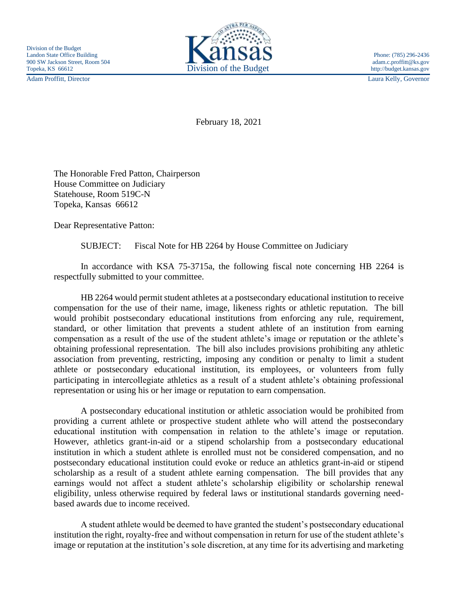Adam Proffitt, Director Laura Kelly, Governor



February 18, 2021

The Honorable Fred Patton, Chairperson House Committee on Judiciary Statehouse, Room 519C-N Topeka, Kansas 66612

Dear Representative Patton:

SUBJECT: Fiscal Note for HB 2264 by House Committee on Judiciary

In accordance with KSA 75-3715a, the following fiscal note concerning HB 2264 is respectfully submitted to your committee.

HB 2264 would permit student athletes at a postsecondary educational institution to receive compensation for the use of their name, image, likeness rights or athletic reputation. The bill would prohibit postsecondary educational institutions from enforcing any rule, requirement, standard, or other limitation that prevents a student athlete of an institution from earning compensation as a result of the use of the student athlete's image or reputation or the athlete's obtaining professional representation. The bill also includes provisions prohibiting any athletic association from preventing, restricting, imposing any condition or penalty to limit a student athlete or postsecondary educational institution, its employees, or volunteers from fully participating in intercollegiate athletics as a result of a student athlete's obtaining professional representation or using his or her image or reputation to earn compensation.

A postsecondary educational institution or athletic association would be prohibited from providing a current athlete or prospective student athlete who will attend the postsecondary educational institution with compensation in relation to the athlete's image or reputation. However, athletics grant-in-aid or a stipend scholarship from a postsecondary educational institution in which a student athlete is enrolled must not be considered compensation, and no postsecondary educational institution could evoke or reduce an athletics grant-in-aid or stipend scholarship as a result of a student athlete earning compensation. The bill provides that any earnings would not affect a student athlete's scholarship eligibility or scholarship renewal eligibility, unless otherwise required by federal laws or institutional standards governing needbased awards due to income received.

A student athlete would be deemed to have granted the student's postsecondary educational institution the right, royalty-free and without compensation in return for use of the student athlete's image or reputation at the institution's sole discretion, at any time for its advertising and marketing